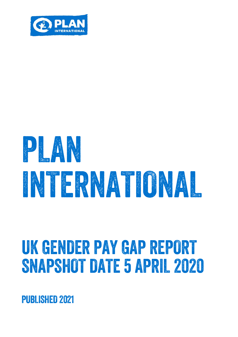

# PLANT RESERVE INTERNATIONAL

## UK GENDER PAY GAP REPORT SNAPSHOT DATE 5 APRIL 2020

PUBLISHED 2021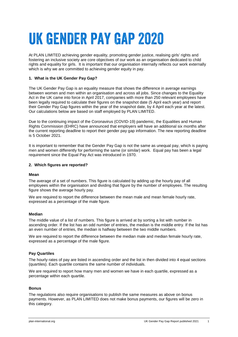### UK GENDER PAY GAP 2020

At PLAN LIMITED achieving gender equality, promoting gender justice, realising girls' rights and fostering an inclusive society are core objectives of our work as an organisation dedicated to child rights and equality for girls. It is important that our organisation internally reflects our work externally which is why we are committed to achieving gender equity in pay.

### **1. What is the UK Gender Pay Gap?**

The UK Gender Pay Gap is an equality measure that shows the difference in average earnings between women and men within an organisation and across all jobs. Since changes to the Equality Act in the UK came into force in April 2017, companies with more than 250 relevant employees have been legally required to calculate their figures on the snapshot date (5 April each year) and report their Gender Pay Gap figures within the year of the snapshot date, by 4 April each year at the latest. Our calculations below are based on staff employed by PLAN LIMITED.

Due to the continuing impact of the Coronavirus (COVID-19) pandemic, the Equalities and Human Rights Commission (EHRC) have announced that employers will have an additional six months after the current reporting deadline to report their gender pay gap information. The new reporting deadline is 5 October 2021.

It is important to remember that the Gender Pay Gap is not the same as unequal pay, which is paying men and women differently for performing the same (or similar) work. Equal pay has been a legal requirement since the Equal Pay Act was introduced in 1970.

#### **2. Which figures are reported?**

#### **Mean**

The average of a set of numbers. This figure is calculated by adding up the hourly pay of all employees within the organisation and dividing that figure by the number of employees. The resulting figure shows the average hourly pay.

We are required to report the difference between the mean male and mean female hourly rate. expressed as a percentage of the male figure.

#### **Median**

The middle value of a list of numbers. This figure is arrived at by sorting a list with number in ascending order. If the list has an odd number of entries, the median is the middle entry. If the list has an even number of entries, the median is halfway between the two middle numbers.

We are required to report the difference between the median male and median female hourly rate, expressed as a percentage of the male figure.

#### **Pay Quartiles**

The hourly rates of pay are listed in ascending order and the list in then divided into 4 equal sections (quartiles). Each quartile contains the same number of individuals.

We are required to report how many men and women we have in each quartile, expressed as a percentage within each quartile.

#### **Bonus**

The regulations also require organisations to publish the same measures as above on bonus payments. However, as PLAN LIMITED does not make bonus payments, our figures will be zero in this category.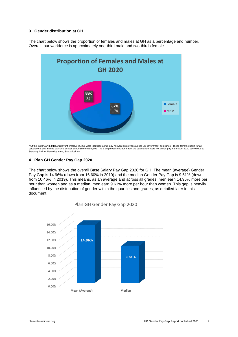#### **3. Gender distribution at GH**

The chart below shows the proportion of females and males at GH as a percentage and number. Overall, our workforce is approximately one-third male and two-thirds female.



\* Of the 263 PLAN LIMITED relevant employees, 258 were identified as full-pay relevant employees as per UK government guidelines. These form the basis for all calculations and include part-time as well as full-time employees. The 5 employees excluded from the calculations were not on full pay in the April 2020 payroll due to<br>Statutory Sick or Maternity leave, Sabbatical, etc.

#### **4. Plan GH Gender Pay Gap 2020**

The chart below shows the overall Base Salary Pay Gap 2020 for GH. The mean (average) Gender Pay Gap is 14.96% (down from 16.60% in 2019) and the median Gender Pay Gap is 9.61% (down from 10.46% in 2019). This means, as an average and across all grades, men earn 14.96% more per hour than women and as a median, men earn 9.61% more per hour than women. This gap is heavily influenced by the distribution of gender within the quartiles and grades, as detailed later in this document.



Plan GH Gender Pay Gap 2020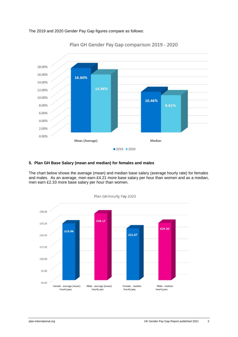The 2019 and 2020 Gender Pay Gap figures compare as follows:



Plan GH Gender Pay Gap comparison 2019 - 2020

#### **5. Plan GH Base Salary (mean and median) for females and males**

The chart below shows the average (mean) and median base salary (average hourly rate) for females and males. As an average, men earn £4.21 more base salary per hour than women and as a median, men earn £2.33 more base salary per hour than women.



Plan GH Hourly Pay 2020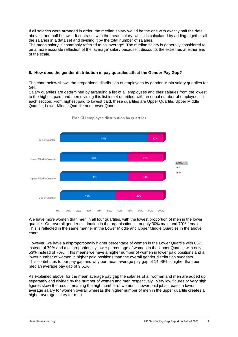If all salaries were arranged in order, the median salary would be the one with exactly half the data above it and half below it. It contrasts with the [mean salary,](https://www.hrzone.com/hr-glossary/mean-wage-definition) which is calculated by adding together all the salaries in a data set and dividing it by the total number of salaries.

The mean salary is commonly referred to as 'average'. The median salary is generally considered to be a more accurate reflection of the 'average' salary because it discounts the extremes at either end of the scale.

### **6. How does the gender distribution in pay quartiles affect the Gender Pay Gap?**

The chart below shows the proportional distribution of employees by gender within salary quartiles for GH.

Salary quartiles are determined by arranging a list of all employees and their salaries from the lowest to the highest paid, and then dividing this list into 4 quartiles, with an equal number of employees in each section. From highest paid to lowest paid, these quartiles are Upper Quartile, Upper Middle Quartile, Lower Middle Quartile and Lower Quartile.



Plan GH employee distribution by quartiles

We have more women than men in all four quartiles, with the lowest proportion of men in the lower quartile. Our overall gender distribution in the organisation is roughly 30% male and 70% female. This is reflected in the same manner in the Lower Middle and Upper Middle Quartiles in the above chart.

However, we have a disproportionally higher percentage of women in the Lower Quartile with 85% instead of 70% and a disproportionally lower percentage of women in the Upper Quartile with only 53% instead of 70%. This means we have a higher number of women in lower paid positions and a lower number of women in higher paid positions than the overall gender distribution suggests. This contributes to our pay gap and why our mean average pay gap of 14.96% is higher than our median average pay gap of 9.61%.

As explained above, for the mean average pay gap the salaries of all women and men are added up separately and divided by the number of women and men respectively. Very low figures or very high figures skew the result, meaning the high number of women in lower paid jobs creates a lower average salary for women overall whereas the higher number of men in the upper quartile creates a higher average salary for men.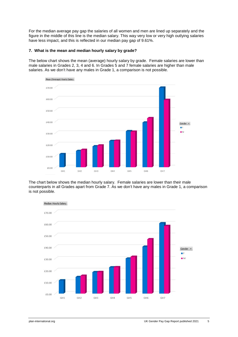For the median average pay gap the salaries of all women and men are lined up separately and the figure in the middle of this line is the median salary. This way very low or very high outlying salaries have less impact, and this is reflected in our median pay gap of 9.61%.

#### **7. What is the mean and median hourly salary by grade?**

The below chart shows the mean (average) hourly salary by grade. Female salaries are lower than male salaries in Grades 2, 3, 4 and 6. In Grades 5 and 7 female salaries are higher than male salaries. As we don't have any males in Grade 1, a comparison is not possible.



The chart below shows the median hourly salary. Female salaries are lower than their male counterparts in all Grades apart from Grade 7. As we don't have any males in Grade 1, a comparison is not possible.

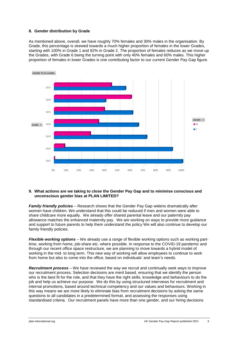#### **8. Gender distribution by Grade**

As mentioned above, overall, we have roughly 70% females and 30% males in the organisation. By Grade, this percentage is skewed towards a much higher proportion of females in the lower Grades, starting with 100% in Grade 1 and 92% in Grade 2. The proportion of females reduces as we move up the Grades, with Grade 6 being the turning point with only 40% females and 60% males. This higher proportion of females in lower Grades is one contributing factor to our current Gender Pay Gap figure.



#### **9. What actions are we taking to close the Gender Pay Gap and to minimise conscious and unconscious gender bias at PLAN LIMITED?**

*Family friendly policies* – Research shows that the Gender Pay Gap widens dramatically after women have children. We understand that this could be reduced if men and women were able to share childcare more equally. We already offer shared parental leave and our paternity pay allowance matches the enhanced maternity pay. We are working on ways to provide more guidance and support to future parents to help them understand the policy We will also continue to develop our family friendly policies.

*Flexible working options –* We already use a range of flexible working options such as working parttime, working from home, job-share etc. where possible. In response to the COVID-19 pandemic and through our recent office space restructure, we are planning to move towards a hybrid model of working in the mid- to long term. This new way of working will allow employees to continue to work from home but also to come into the office, based on individuals' and team's needs.

*Recruitment process –* We have reviewed the way we recruit and continually seek ways to improve our recruitment process. Selection decisions are merit based, ensuring that we identify the person who is the best fit for the role, and that they have the right skills, knowledge and behaviours to do the job and help us achieve our purpose. We do this by using structured interviews for recruitment and internal promotions, based around technical competency and our values and behaviours. Working in this way means we are more likely to eliminate bias from recruitment decisions by asking the same questions to all candidates in a predetermined format, and assessing the responses using standardised criteria. Our recruitment panels have more than one gender, and our hiring decisions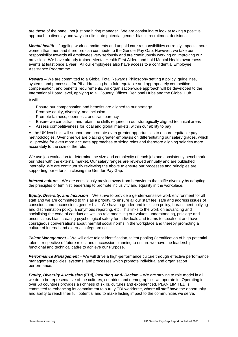are those of the panel, not just one hiring manager. We are continuing to look at taking a positive approach to diversity and ways to eliminate potential gender bias in recruitment decisions.

*Mental health* – Juggling work commitments and unpaid care responsibilities currently impacts more women than men and therefore can contribute to the Gender Pay Gap. However, we take our responsibility towards all employees very seriously and are continuously working on improving our provision. We have already trained Mental Health First Aiders and hold Mental Health awareness events at least once a year. All our employees also have access to a confidential Employee Assistance Programme.

*Reward* – We are committed to a Global Total Rewards Philosophy setting a policy, guidelines, systems and processes for PII addressing both fair, equitable and appropriately competitive compensation, and benefits requirements. An organisation-wide approach will be developed to the International Board level, applying to all Country Offices, Regional Hubs and the Global Hub.

It will:

- Ensure our compensation and benefits are aligned to our strategy.
- Promote equity, diversity, and inclusion
- Promote fairness, openness, and transparency
- Ensure we can attract and retain the skills required in our strategically aligned technical areas
- Assess competitiveness for local and global markets, within our ability to pay

At the UK level this will support and promote even greater opportunities to ensure equitable pay methodologies. Over time we are placing greater emphasis on differentiating our salary grades, which will provide for even more accurate approaches to sizing roles and therefore aligning salaries more accurately to the size of the role.

We use job evaluation to determine the size and complexity of each job and consistently benchmark our roles with the external market. Our salary ranges are reviewed annually and are published internally. We are continuously reviewing the above to ensure our processes and principles are supporting our efforts in closing the Gender Pay Gap.

*Internal culture* – We are consciously moving away from behaviours that stifle diversity by adopting the principles of feminist leadership to promote inclusivity and equality in the workplace.

*Equity, Diversity, and Inclusion* – We strive to provide a gender-sensitive work environment for all staff and we are committed to this as a priority, to ensure all our staff feel safe and address issues of conscious and unconscious gender bias. We have a gender and inclusion policy, harassment bullying and discrimination policy, anonymous reporting, etc. This links to the work on advancing and socialising the code of conduct as well as role modelling our values, understanding, privilege and unconscious bias, creating psychological safety for individuals and teams to speak out and have courageous conversations about harmful social norms in the workplace and thereby promoting a culture of internal and external safeguarding.

*Talent Management* – We will drive talent identification, talent pooling (identification of high potential talent irrespective of future roles, and succession planning to ensure we have the leadership, functional and technical cadre to achieve our Purpose.

**Performance Management** – We will drive a high-performance culture through effective performance management policies, systems, and processes which promote individual and organisation performance.

*Equity, Diversity & Inclusion (EDI), including Anti- Racism* – We are striving to role model in all we do to be representative of the cultures, countries and demographics we operate in. Operating in over 50 countries provides a richness of skills, cultures and experienced. PLAN LIMITED is committed to enhancing its commitment to a truly EDI workforce, where all staff have the opportunity and ability to reach their full potential and to make lasting impact to the communities we serve.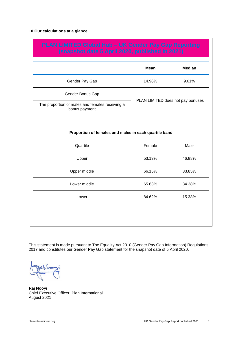#### **10.Our calculations at a glance**

| PLAN LIMITED Global Hub - UK Gender Pay Gap Reporting<br>(snapshot date 5 April 2020, published in 2021) |               |  |
|----------------------------------------------------------------------------------------------------------|---------------|--|
| <b>Mean</b>                                                                                              | <b>Median</b> |  |
| 14.96%                                                                                                   | 9.61%         |  |
| PLAN LIMITED does not pay bonuses                                                                        |               |  |
|                                                                                                          |               |  |
| Proportion of females and males in each quartile band                                                    |               |  |
| Female                                                                                                   | Male          |  |
| 53.13%                                                                                                   | 46.88%        |  |
| 66.15%                                                                                                   | 33.85%        |  |
| 65.63%                                                                                                   | 34.38%        |  |
| 84.62%                                                                                                   | 15.38%        |  |
|                                                                                                          |               |  |

This statement is made pursuant to The Equality Act 2010 (Gender Pay Gap Information) Regulations 2017 and constitutes our Gender Pay Gap statement for the snapshot date of 5 April 2020.

**Raj Nooyi** Chief Executive Officer, Plan International August 2021